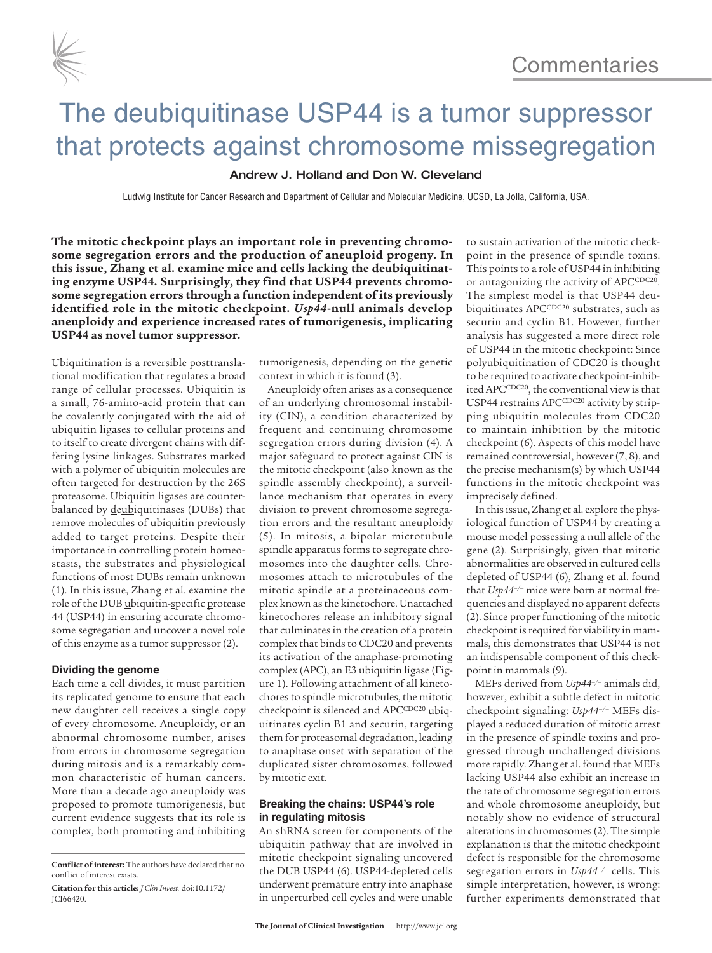

# The deubiquitinase USP44 is a tumor suppressor that protects against chromosome missegregation

### Andrew J. Holland and Don W. Cleveland

Ludwig Institute for Cancer Research and Department of Cellular and Molecular Medicine, UCSD, La Jolla, California, USA.

**The mitotic checkpoint plays an important role in preventing chromosome segregation errors and the production of aneuploid progeny. In this issue, Zhang et al. examine mice and cells lacking the deubiquitinating enzyme USP44. Surprisingly, they find that USP44 prevents chromosome segregation errors through a function independent of its previously identified role in the mitotic checkpoint.** *Usp44***-null animals develop aneuploidy and experience increased rates of tumorigenesis, implicating USP44 as novel tumor suppressor.**

Ubiquitination is a reversible posttranslational modification that regulates a broad range of cellular processes. Ubiquitin is a small, 76-amino-acid protein that can be covalently conjugated with the aid of ubiquitin ligases to cellular proteins and to itself to create divergent chains with differing lysine linkages. Substrates marked with a polymer of ubiquitin molecules are often targeted for destruction by the 26S proteasome. Ubiquitin ligases are counterbalanced by deubiquitinases (DUBs) that remove molecules of ubiquitin previously added to target proteins. Despite their importance in controlling protein homeostasis, the substrates and physiological functions of most DUBs remain unknown (1). In this issue, Zhang et al. examine the role of the DUB ubiquitin-specific protease 44 (USP44) in ensuring accurate chromosome segregation and uncover a novel role of this enzyme as a tumor suppressor (2).

#### **Dividing the genome**

Each time a cell divides, it must partition its replicated genome to ensure that each new daughter cell receives a single copy of every chromosome. Aneuploidy, or an abnormal chromosome number, arises from errors in chromosome segregation during mitosis and is a remarkably common characteristic of human cancers. More than a decade ago aneuploidy was proposed to promote tumorigenesis, but current evidence suggests that its role is complex, both promoting and inhibiting tumorigenesis, depending on the genetic context in which it is found (3).

Aneuploidy often arises as a consequence of an underlying chromosomal instability (CIN), a condition characterized by frequent and continuing chromosome segregation errors during division (4). A major safeguard to protect against CIN is the mitotic checkpoint (also known as the spindle assembly checkpoint), a surveillance mechanism that operates in every division to prevent chromosome segregation errors and the resultant aneuploidy (5). In mitosis, a bipolar microtubule spindle apparatus forms to segregate chromosomes into the daughter cells. Chromosomes attach to microtubules of the mitotic spindle at a proteinaceous complex known as the kinetochore. Unattached kinetochores release an inhibitory signal that culminates in the creation of a protein complex that binds to CDC20 and prevents its activation of the anaphase-promoting complex (APC), an E3 ubiquitin ligase (Figure 1). Following attachment of all kinetochores to spindle microtubules, the mitotic checkpoint is silenced and APCCDC20 ubiquitinates cyclin B1 and securin, targeting them for proteasomal degradation, leading to anaphase onset with separation of the duplicated sister chromosomes, followed by mitotic exit.

# **Breaking the chains: USP44's role in regulating mitosis**

An shRNA screen for components of the ubiquitin pathway that are involved in mitotic checkpoint signaling uncovered the DUB USP44 (6). USP44-depleted cells underwent premature entry into anaphase in unperturbed cell cycles and were unable

to sustain activation of the mitotic checkpoint in the presence of spindle toxins. This points to a role of USP44 in inhibiting or antagonizing the activity of APCCDC20. The simplest model is that USP44 deubiquitinates APCCDC20 substrates, such as securin and cyclin B1. However, further analysis has suggested a more direct role of USP44 in the mitotic checkpoint: Since polyubiquitination of CDC20 is thought to be required to activate checkpoint-inhibited APCCDC20, the conventional view is that USP44 restrains APCCDC20 activity by stripping ubiquitin molecules from CDC20 to maintain inhibition by the mitotic checkpoint (6). Aspects of this model have remained controversial, however (7, 8), and the precise mechanism(s) by which USP44 functions in the mitotic checkpoint was imprecisely defined.

In this issue, Zhang et al. explore the physiological function of USP44 by creating a mouse model possessing a null allele of the gene (2). Surprisingly, given that mitotic abnormalities are observed in cultured cells depleted of USP44 (6), Zhang et al. found that *Usp44–/–* mice were born at normal frequencies and displayed no apparent defects (2). Since proper functioning of the mitotic checkpoint is required for viability in mammals, this demonstrates that USP44 is not an indispensable component of this checkpoint in mammals (9).

MEFs derived from *Usp44–/–* animals did, however, exhibit a subtle defect in mitotic checkpoint signaling: *Usp44–/–* MEFs displayed a reduced duration of mitotic arrest in the presence of spindle toxins and progressed through unchallenged divisions more rapidly. Zhang et al. found that MEFs lacking USP44 also exhibit an increase in the rate of chromosome segregation errors and whole chromosome aneuploidy, but notably show no evidence of structural alterations in chromosomes (2). The simple explanation is that the mitotic checkpoint defect is responsible for the chromosome segregation errors in *Usp44–/–* cells. This simple interpretation, however, is wrong: further experiments demonstrated that

**Conflict of interest:** The authors have declared that no conflict of interest exists.

**Citation for this article:** *J Clin Invest.* doi:10.1172/ JCI66420.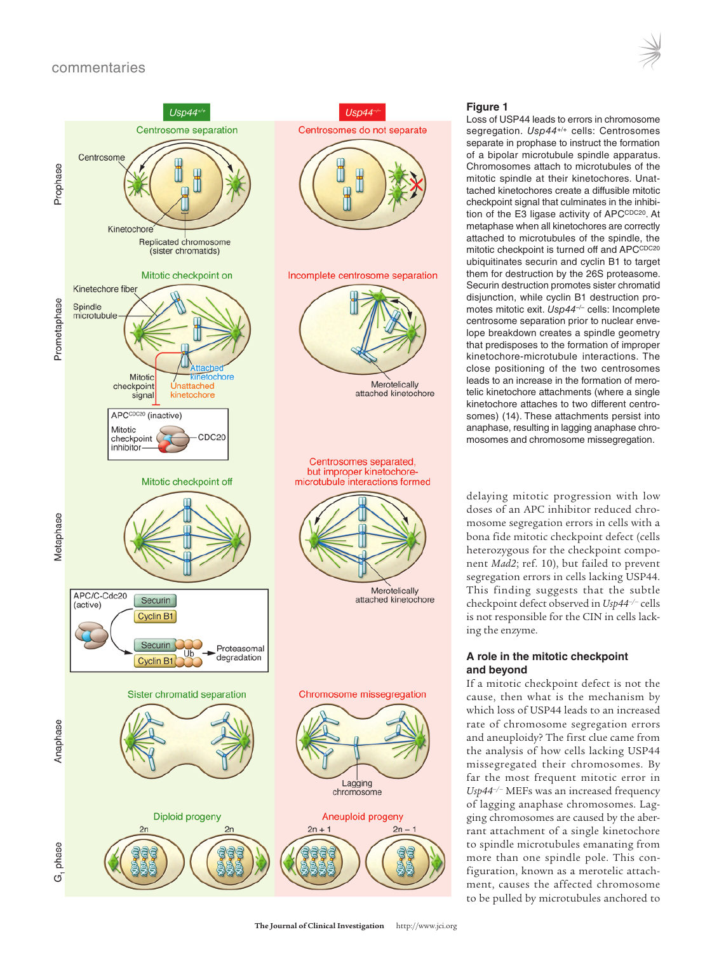

# **Figure 1**

Loss of USP44 leads to errors in chromosome segregation. *Usp44+/+* cells: Centrosomes separate in prophase to instruct the formation of a bipolar microtubule spindle apparatus. Chromosomes attach to microtubules of the mitotic spindle at their kinetochores. Unattached kinetochores create a diffusible mitotic checkpoint signal that culminates in the inhibition of the E3 ligase activity of APCCDC20. At metaphase when all kinetochores are correctly attached to microtubules of the spindle, the mitotic checkpoint is turned off and APCCDC20 ubiquitinates securin and cyclin B1 to target them for destruction by the 26S proteasome. Securin destruction promotes sister chromatid disjunction, while cyclin B1 destruction promotes mitotic exit. *Usp44–/–* cells: Incomplete centrosome separation prior to nuclear envelope breakdown creates a spindle geometry that predisposes to the formation of improper kinetochore-microtubule interactions. The close positioning of the two centrosomes leads to an increase in the formation of merotelic kinetochore attachments (where a single kinetochore attaches to two different centrosomes) (14). These attachments persist into anaphase, resulting in lagging anaphase chromosomes and chromosome missegregation.

delaying mitotic progression with low doses of an APC inhibitor reduced chromosome segregation errors in cells with a bona fide mitotic checkpoint defect (cells heterozygous for the checkpoint component *Mad2*; ref. 10), but failed to prevent segregation errors in cells lacking USP44. This finding suggests that the subtle checkpoint defect observed in *Usp44–/–* cells is not responsible for the CIN in cells lacking the enzyme.

# **A role in the mitotic checkpoint and beyond**

If a mitotic checkpoint defect is not the cause, then what is the mechanism by which loss of USP44 leads to an increased rate of chromosome segregation errors and aneuploidy? The first clue came from the analysis of how cells lacking USP44 missegregated their chromosomes. By far the most frequent mitotic error in *Usp44–/–* MEFs was an increased frequency of lagging anaphase chromosomes. Lagging chromosomes are caused by the aberrant attachment of a single kinetochore to spindle microtubules emanating from more than one spindle pole. This configuration, known as a merotelic attachment, causes the affected chromosome to be pulled by microtubules anchored to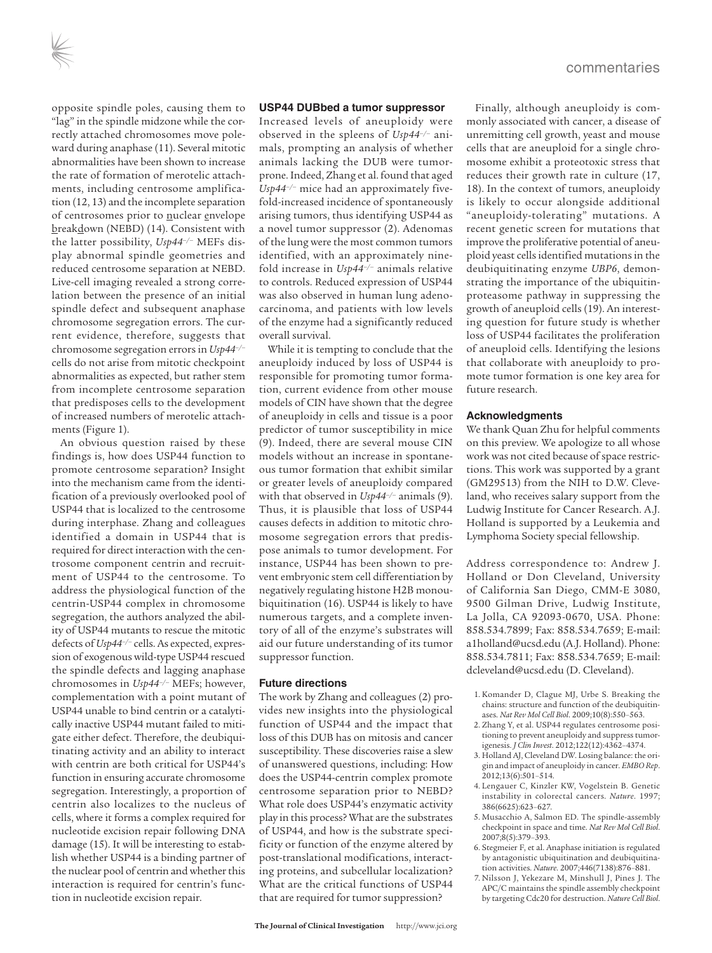opposite spindle poles, causing them to "lag" in the spindle midzone while the correctly attached chromosomes move poleward during anaphase (11). Several mitotic abnormalities have been shown to increase the rate of formation of merotelic attachments, including centrosome amplification (12, 13) and the incomplete separation of centrosomes prior to nuclear envelope breakdown (NEBD) (14). Consistent with the latter possibility, *Usp44–/–* MEFs display abnormal spindle geometries and reduced centrosome separation at NEBD. Live-cell imaging revealed a strong correlation between the presence of an initial spindle defect and subsequent anaphase chromosome segregation errors. The current evidence, therefore, suggests that chromosome segregation errors in *Usp44–/–* cells do not arise from mitotic checkpoint abnormalities as expected, but rather stem from incomplete centrosome separation that predisposes cells to the development of increased numbers of merotelic attachments (Figure 1).

An obvious question raised by these findings is, how does USP44 function to promote centrosome separation? Insight into the mechanism came from the identification of a previously overlooked pool of USP44 that is localized to the centrosome during interphase. Zhang and colleagues identified a domain in USP44 that is required for direct interaction with the centrosome component centrin and recruitment of USP44 to the centrosome. To address the physiological function of the centrin-USP44 complex in chromosome segregation, the authors analyzed the ability of USP44 mutants to rescue the mitotic defects of *Usp44–/–* cells. As expected, expression of exogenous wild-type USP44 rescued the spindle defects and lagging anaphase chromosomes in *Usp44–/–* MEFs; however, complementation with a point mutant of USP44 unable to bind centrin or a catalytically inactive USP44 mutant failed to mitigate either defect. Therefore, the deubiquitinating activity and an ability to interact with centrin are both critical for USP44's function in ensuring accurate chromosome segregation. Interestingly, a proportion of centrin also localizes to the nucleus of cells, where it forms a complex required for nucleotide excision repair following DNA damage (15). It will be interesting to establish whether USP44 is a binding partner of the nuclear pool of centrin and whether this interaction is required for centrin's function in nucleotide excision repair.

#### **USP44 DUBbed a tumor suppressor**

Increased levels of aneuploidy were observed in the spleens of *Usp44–/–* animals, prompting an analysis of whether animals lacking the DUB were tumorprone. Indeed, Zhang et al. found that aged *Usp44–/–* mice had an approximately fivefold-increased incidence of spontaneously arising tumors, thus identifying USP44 as a novel tumor suppressor (2). Adenomas of the lung were the most common tumors identified, with an approximately ninefold increase in *Usp44–/–* animals relative to controls. Reduced expression of USP44 was also observed in human lung adenocarcinoma, and patients with low levels of the enzyme had a significantly reduced overall survival.

While it is tempting to conclude that the aneuploidy induced by loss of USP44 is responsible for promoting tumor formation, current evidence from other mouse models of CIN have shown that the degree of aneuploidy in cells and tissue is a poor predictor of tumor susceptibility in mice (9). Indeed, there are several mouse CIN models without an increase in spontaneous tumor formation that exhibit similar or greater levels of aneuploidy compared with that observed in *Usp44–/–* animals (9). Thus, it is plausible that loss of USP44 causes defects in addition to mitotic chromosome segregation errors that predispose animals to tumor development. For instance, USP44 has been shown to prevent embryonic stem cell differentiation by negatively regulating histone H2B monoubiquitination (16). USP44 is likely to have numerous targets, and a complete inventory of all of the enzyme's substrates will aid our future understanding of its tumor suppressor function.

#### **Future directions**

The work by Zhang and colleagues (2) provides new insights into the physiological function of USP44 and the impact that loss of this DUB has on mitosis and cancer susceptibility. These discoveries raise a slew of unanswered questions, including: How does the USP44-centrin complex promote centrosome separation prior to NEBD? What role does USP44's enzymatic activity play in this process? What are the substrates of USP44, and how is the substrate specificity or function of the enzyme altered by post-translational modifications, interacting proteins, and subcellular localization? What are the critical functions of USP44 that are required for tumor suppression?

Finally, although aneuploidy is commonly associated with cancer, a disease of unremitting cell growth, yeast and mouse cells that are aneuploid for a single chromosome exhibit a proteotoxic stress that reduces their growth rate in culture (17, 18). In the context of tumors, aneuploidy is likely to occur alongside additional "aneuploidy-tolerating" mutations. A recent genetic screen for mutations that improve the proliferative potential of aneuploid yeast cells identified mutations in the deubiquitinating enzyme *UBP6*, demonstrating the importance of the ubiquitinproteasome pathway in suppressing the growth of aneuploid cells (19). An interesting question for future study is whether loss of USP44 facilitates the proliferation of aneuploid cells. Identifying the lesions that collaborate with aneuploidy to promote tumor formation is one key area for future research.

#### **Acknowledgments**

We thank Quan Zhu for helpful comments on this preview. We apologize to all whose work was not cited because of space restrictions. This work was supported by a grant (GM29513) from the NIH to D.W. Cleveland, who receives salary support from the Ludwig Institute for Cancer Research. A.J. Holland is supported by a Leukemia and Lymphoma Society special fellowship.

Address correspondence to: Andrew J. Holland or Don Cleveland, University of California San Diego, CMM-E 3080, 9500 Gilman Drive, Ludwig Institute, La Jolla, CA 92093-0670, USA. Phone: 858.534.7899; Fax: 858.534.7659; E-mail: a1holland@ucsd.edu (A.J. Holland). Phone: 858.534.7811; Fax: 858.534.7659; E-mail: dcleveland@ucsd.edu (D. Cleveland).

- 1. Komander D, Clague MJ, Urbe S. Breaking the chains: structure and function of the deubiquitinases. *Nat Rev Mol Cell Biol*. 2009;10(8):550–563.
- 2. Zhang Y, et al. USP44 regulates centrosome positioning to prevent aneuploidy and suppress tumorigenesis. *J Clin Invest*. 2012;122(12):4362–4374.
- 3. Holland AJ, Cleveland DW. Losing balance: the origin and impact of aneuploidy in cancer. *EMBO Rep*. 2012;13(6):501–514.
- 4. Lengauer C, Kinzler KW, Vogelstein B. Genetic instability in colorectal cancers. *Nature*. 1997; 386(6625):623–627.
- 5. Musacchio A, Salmon ED. The spindle-assembly checkpoint in space and time. *Nat Rev Mol Cell Biol*. 2007;8(5):379–393.
- 6. Stegmeier F, et al. Anaphase initiation is regulated by antagonistic ubiquitination and deubiquitination activities. *Nature*. 2007;446(7138):876–881.
- 7. Nilsson J, Yekezare M, Minshull J, Pines J. The APC/C maintains the spindle assembly checkpoint by targeting Cdc20 for destruction. *Nature Cell Biol*.